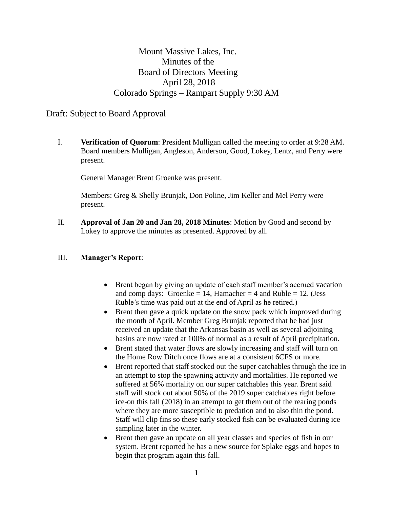# Mount Massive Lakes, Inc. Minutes of the Board of Directors Meeting April 28, 2018 Colorado Springs – Rampart Supply 9:30 AM

## Draft: Subject to Board Approval

I. **Verification of Quorum**: President Mulligan called the meeting to order at 9:28 AM. Board members Mulligan, Angleson, Anderson, Good, Lokey, Lentz, and Perry were present.

General Manager Brent Groenke was present.

Members: Greg & Shelly Brunjak, Don Poline, Jim Keller and Mel Perry were present.

II. **Approval of Jan 20 and Jan 28, 2018 Minutes**: Motion by Good and second by Lokey to approve the minutes as presented. Approved by all.

#### III. **Manager's Report**:

- Brent began by giving an update of each staff member's accrued vacation and comp days: Groenke = 14, Hamacher = 4 and Ruble = 12. (Jess Ruble's time was paid out at the end of April as he retired.)
- Brent then gave a quick update on the snow pack which improved during the month of April. Member Greg Brunjak reported that he had just received an update that the Arkansas basin as well as several adjoining basins are now rated at 100% of normal as a result of April precipitation.
- Brent stated that water flows are slowly increasing and staff will turn on the Home Row Ditch once flows are at a consistent 6CFS or more.
- Brent reported that staff stocked out the super catchables through the ice in an attempt to stop the spawning activity and mortalities. He reported we suffered at 56% mortality on our super catchables this year. Brent said staff will stock out about 50% of the 2019 super catchables right before ice-on this fall (2018) in an attempt to get them out of the rearing ponds where they are more susceptible to predation and to also thin the pond. Staff will clip fins so these early stocked fish can be evaluated during ice sampling later in the winter.
- Brent then gave an update on all year classes and species of fish in our system. Brent reported he has a new source for Splake eggs and hopes to begin that program again this fall.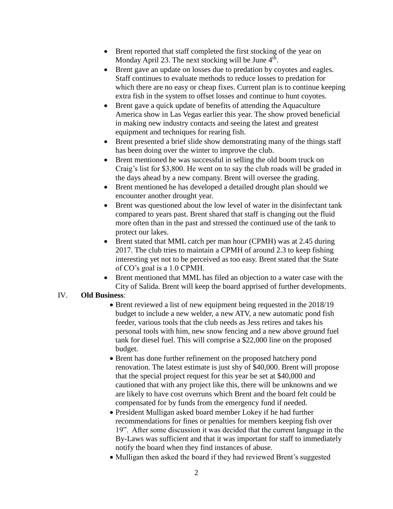- Brent reported that staff completed the first stocking of the year on Monday April 23. The next stocking will be June 4<sup>th</sup>.
- Brent gave an update on losses due to predation by coyotes and eagles. Staff continues to evaluate methods to reduce losses to predation for which there are no easy or cheap fixes. Current plan is to continue keeping extra fish in the system to offset losses and continue to hunt coyotes.
- Brent gave a quick update of benefits of attending the Aquaculture America show in Las Vegas earlier this year. The show proved beneficial in making new industry contacts and seeing the latest and greatest equipment and techniques for rearing fish.
- Brent presented a brief slide show demonstrating many of the things staff has been doing over the winter to improve the club.
- Brent mentioned he was successful in selling the old boom truck on Craig's list for \$3,800. He went on to say the club roads will be graded in the days ahead by a new company. Brent will oversee the grading.
- Brent mentioned he has developed a detailed drought plan should we encounter another drought year.
- Brent was questioned about the low level of water in the disinfectant tank compared to years past. Brent shared that staff is changing out the fluid more often than in the past and stressed the continued use of the tank to protect our lakes.
- Brent stated that MML catch per man hour (CPMH) was at 2.45 during 2017. The club tries to maintain a CPMH of around 2.3 to keep fishing interesting yet not to be perceived as too easy. Brent stated that the State of CO's goal is a 1.0 CPMH.
- Brent mentioned that MML has filed an objection to a water case with the City of Salida. Brent will keep the board apprised of further developments.

### IV. **Old Business**:

- Brent reviewed a list of new equipment being requested in the 2018/19 budget to include a new welder, a new ATV, a new automatic pond fish feeder, various tools that the club needs as Jess retires and takes his personal tools with him, new snow fencing and a new above ground fuel tank for diesel fuel. This will comprise a \$22,000 line on the proposed budget.
- Brent has done further refinement on the proposed hatchery pond renovation. The latest estimate is just shy of \$40,000. Brent will propose that the special project request for this year be set at \$40,000 and cautioned that with any project like this, there will be unknowns and we are likely to have cost overruns which Brent and the board felt could be compensated for by funds from the emergency fund if needed.
- President Mulligan asked board member Lokey if he had further recommendations for fines or penalties for members keeping fish over 19". After some discussion it was decided that the current language in the By-Laws was sufficient and that it was important for staff to immediately notify the board when they find instances of abuse.
- Mulligan then asked the board if they had reviewed Brent's suggested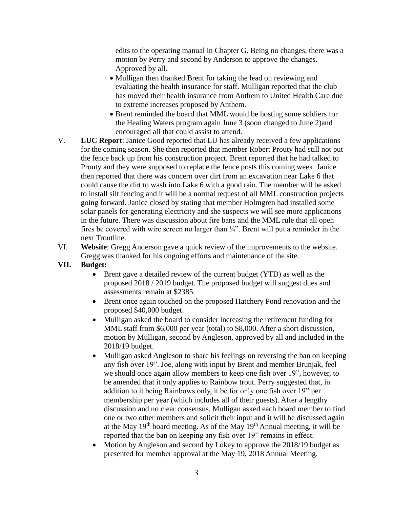edits to the operating manual in Chapter G. Being no changes, there was a motion by Perry and second by Anderson to approve the changes. Approved by all.

- Mulligan then thanked Brent for taking the lead on reviewing and evaluating the health insurance for staff. Mulligan reported that the club has moved their health insurance from Anthem to United Health Care due to extreme increases proposed by Anthem.
- Brent reminded the board that MML would be hosting some soldiers for the Healing Waters program again June 3 (soon changed to June 2)and encouraged all that could assist to attend.
- V. **LUC Report**: Janice Good reported that LU has already received a few applications for the coming season. She then reported that member Robert Prouty had still not put the fence back up from his construction project. Brent reported that he had talked to Prouty and they were supposed to replace the fence posts this coming week. Janice then reported that there was concern over dirt from an excavation near Lake 6 that could cause the dirt to wash into Lake 6 with a good rain. The member will be asked to install silt fencing and it will be a normal request of all MML construction projects going forward. Janice closed by stating that member Holmgren had installed some solar panels for generating electricity and she suspects we will see more applications in the future. There was discussion about fire bans and the MML rule that all open fires be covered with wire screen no larger than ¼". Brent will put a reminder in the next Troutline.
- VI. **Website**: Gregg Anderson gave a quick review of the improvements to the website. Gregg was thanked for his ongoing efforts and maintenance of the site.

### **VII. Budget:**

- Brent gave a detailed review of the current budget (YTD) as well as the proposed 2018 / 2019 budget. The proposed budget will suggest dues and assessments remain at \$2385.
- Brent once again touched on the proposed Hatchery Pond renovation and the proposed \$40,000 budget.
- Mulligan asked the board to consider increasing the retirement funding for MML staff from \$6,000 per year (total) to \$8,000. After a short discussion, motion by Mulligan, second by Angleson, approved by all and included in the 2018/19 budget.
- Mulligan asked Angleson to share his feelings on reversing the ban on keeping any fish over 19". Joe, along with input by Brent and member Brunjak, feel we should once again allow members to keep one fish over 19", however, to be amended that it only applies to Rainbow trout. Perry suggested that, in addition to it being Rainbows only, it be for only one fish over 19" per membership per year (which includes all of their guests). After a lengthy discussion and no clear consensus, Mulligan asked each board member to find one or two other members and solicit their input and it will be discussed again at the May  $19<sup>th</sup>$  board meeting. As of the May  $19<sup>th</sup>$  Annual meeting, it will be reported that the ban on keeping any fish over 19" remains in effect.
- Motion by Angleson and second by Lokey to approve the 2018/19 budget as presented for member approval at the May 19, 2018 Annual Meeting.